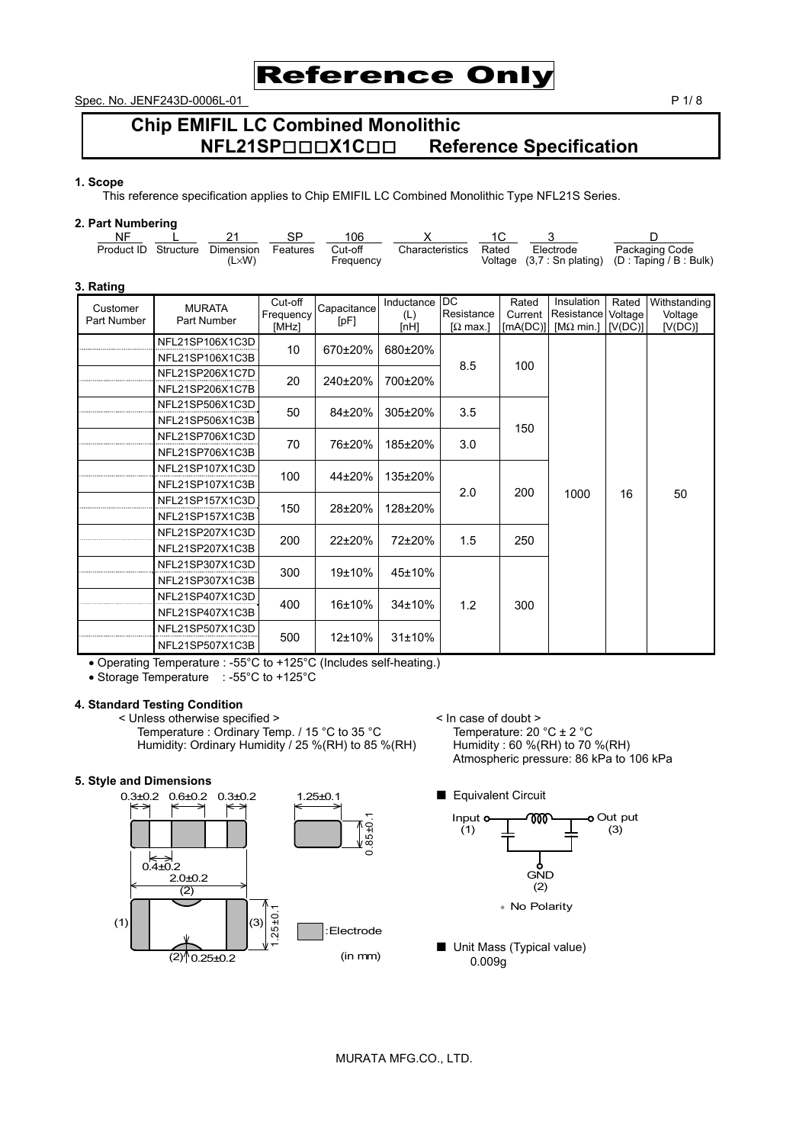

Spec. No. JENF243D-0006L-01 P 1/ 8

# **Chip EMIFIL LC Combined Monolithic NFL21SP**□□□**X1C**□□ **Reference Specification**

#### **1. Scope**

This reference specification applies to Chip EMIFIL LC Combined Monolithic Type NFL21S Series.

### **2. Part Numbering**

| <b>NF</b><br>Product ID | Structure | 21<br>Dimension<br>$(L \times W)$  | SP<br>Features                | 106<br>Cut-off<br>Frequency | x<br>Characteristics      |                                          | 1C<br>Rated<br>Voltage       | 3<br>Electrode<br>$(3,7:$ Sn plating)                 |                  | D<br>Packaging Code<br>(D : Taping / B : Bulk) |
|-------------------------|-----------|------------------------------------|-------------------------------|-----------------------------|---------------------------|------------------------------------------|------------------------------|-------------------------------------------------------|------------------|------------------------------------------------|
| 3. Rating               |           |                                    |                               |                             |                           |                                          |                              |                                                       |                  |                                                |
| Customer<br>Part Number |           | <b>MURATA</b><br>Part Number       | Cut-off<br>Frequency<br>[MHz] | Capacitance<br>[pF]         | Inductance<br>(L)<br>[nH] | <b>DC</b><br>Resistance<br>$\Omega$ max. | Rated<br>Current<br>[MA(DC)] | Insulation<br>Resistance Voltage<br>[ $M\Omega$ min.] | Rated<br>[V(DC)] | Withstanding<br>Voltage<br>[V(DC)]             |
|                         |           | NFL21SP106X1C3D<br>NFL21SP106X1C3B | 10                            | 670±20%                     | 680±20%                   | 8.5                                      | 100                          |                                                       |                  |                                                |
|                         |           | NFL21SP206X1C7D<br>NFL21SP206X1C7B | 20                            | 240±20%                     | 700±20%                   |                                          |                              |                                                       |                  |                                                |
|                         |           | NFL21SP506X1C3D<br>NFL21SP506X1C3B | 50                            | 84±20%                      | 305±20%                   | 3.5                                      |                              |                                                       |                  |                                                |
|                         |           | NFL21SP706X1C3D<br>NFL21SP706X1C3B | 70                            | 76±20%                      | 185±20%                   | 3.0                                      | 150                          |                                                       |                  |                                                |
|                         |           | NFL21SP107X1C3D<br>NFL21SP107X1C3B | 100                           | 44±20%                      | 135±20%                   |                                          |                              |                                                       |                  |                                                |
|                         |           | NFL21SP157X1C3D<br>NFL21SP157X1C3B | 150                           | 28±20%                      | 128±20%                   | 2.0                                      | 200                          | 1000                                                  | 16               | 50                                             |
|                         |           | NFL21SP207X1C3D<br>NFL21SP207X1C3B | 200                           | 22±20%                      | 72±20%                    | 1.5                                      | 250                          |                                                       |                  |                                                |
|                         |           | NFL21SP307X1C3D<br>NFL21SP307X1C3B | 300                           | 19±10%                      | 45±10%                    |                                          |                              |                                                       |                  |                                                |
|                         |           | NFL21SP407X1C3D<br>NFL21SP407X1C3B | 400                           | 16±10%                      | 34±10%                    | 1.2                                      | 300                          |                                                       |                  |                                                |
|                         |           | NFL21SP507X1C3D<br>NFL21SP507X1C3B | 500                           | 12±10%                      | 31±10%                    |                                          |                              |                                                       |                  |                                                |

• Operating Temperature : -55°C to +125°C (Includes self-heating.)

• Storage Temperature : -55°C to +125°C

## **4. Standard Testing Condition**

< Unless otherwise specified ><br>
Temperature : Ordinary Temp. / 15 °C to 35 °C<br>
Humidity: Ordinary Humidity / 25 %(RH) to 85 %(RH) Humidity : 60 %(RH) to 70 %(RH) Temperature : Ordinary Temp. / 15 °C to 35 °C Humidity: Ordinary Humidity / 25 %(RH) to 85 %(RH)

# **5. Style and Dimensions**



Atmospheric pressure: 86 kPa to 106 kPa

- Equivalent Circuit Input o o Out put ገገገገገ (1) (3) ឹ<br>GND (2)
	- ∗ No Polarity
- Unit Mass (Typical value) 0.009g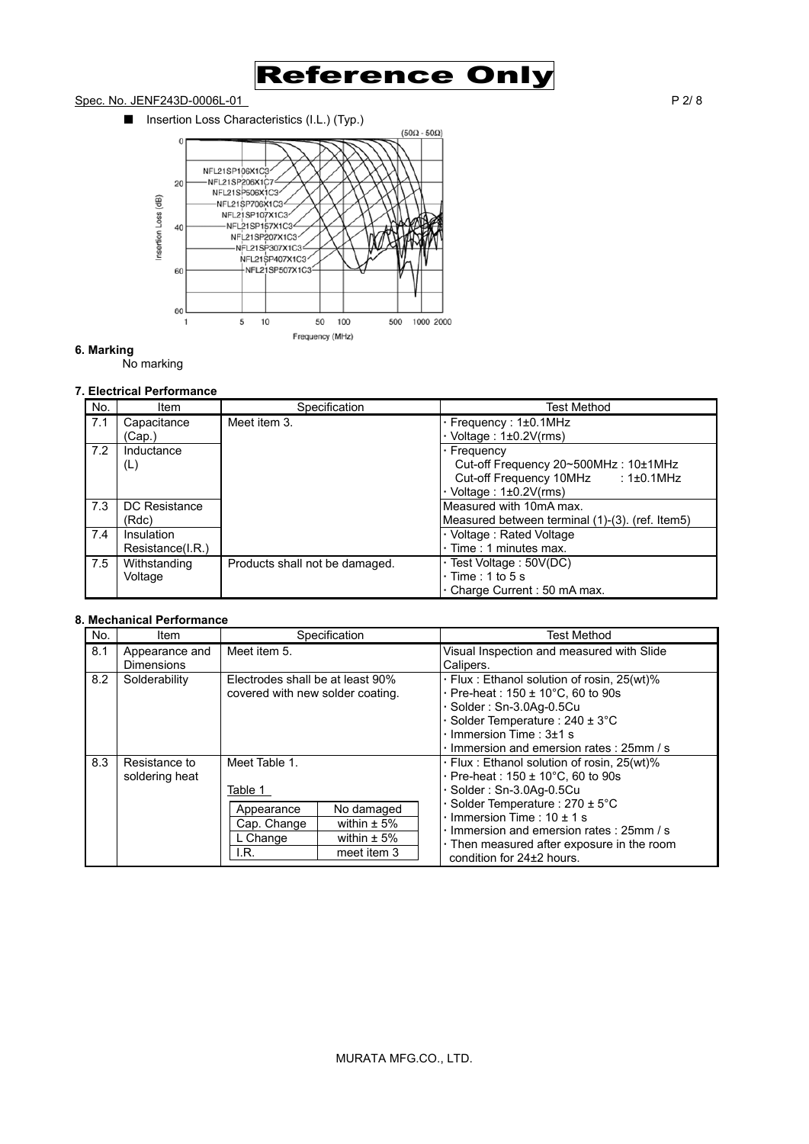

# Spec. No. JENF243D-0006L-01 P 2/ 8

■ Insertion Loss Characteristics (I.L.) (Typ.)



# **6. Marking**

No marking

# **7. Electrical Performance**

| No. | Item             | Specification                  | <b>Test Method</b>                              |
|-----|------------------|--------------------------------|-------------------------------------------------|
| 7.1 | Capacitance      | Meet item 3.                   | $\cdot$ Frequency : 1 $\pm$ 0.1MHz              |
|     | (Cap.)           |                                | $\cdot$ Voltage : 1±0.2V(rms)                   |
| 7.2 | Inductance       |                                | · Frequency                                     |
|     | (L)              |                                | Cut-off Frequency 20~500MHz: 10±1MHz            |
|     |                  |                                | Cut-off Frequency 10MHz : 1±0.1MHz              |
|     |                  |                                | $\cdot$ Voltage : 1±0.2V(rms)                   |
| 7.3 | DC Resistance    |                                | Measured with 10mA max.                         |
|     | (Rdc)            |                                | Measured between terminal (1)-(3). (ref. Item5) |
| 7.4 | Insulation       |                                | · Voltage: Rated Voltage                        |
|     | Resistance(I.R.) |                                | $\cdot$ Time : 1 minutes max.                   |
| 7.5 | Withstanding     | Products shall not be damaged. | · Test Voltage: 50V(DC)                         |
|     | Voltage          |                                | $\cdot$ Time : 1 to 5 s                         |
|     |                  |                                | . Charge Current: 50 mA max.                    |

# **8. Mechanical Performance**

| No. | Item                                | Specification                                                             |                                                                 | <b>Test Method</b>                                                                                                                                                                                                                                                                                                                         |
|-----|-------------------------------------|---------------------------------------------------------------------------|-----------------------------------------------------------------|--------------------------------------------------------------------------------------------------------------------------------------------------------------------------------------------------------------------------------------------------------------------------------------------------------------------------------------------|
| 8.1 | Appearance and<br><b>Dimensions</b> | Meet item 5.                                                              |                                                                 | Visual Inspection and measured with Slide<br>Calipers.                                                                                                                                                                                                                                                                                     |
| 8.2 | Solderability                       | Electrodes shall be at least 90%<br>covered with new solder coating.      |                                                                 | · Flux: Ethanol solution of rosin, 25(wt)%<br>$\cdot$ Pre-heat : 150 $\pm$ 10°C, 60 to 90s<br>· Solder: Sn-3.0Aq-0.5Cu<br>Solder Temperature : $240 \pm 3^{\circ}$ C<br>$\cdot$ Immersion Time : 3 $\pm$ 1 s<br>· Immersion and emersion rates: 25mm / s                                                                                   |
| 8.3 | Resistance to<br>soldering heat     | Meet Table 1.<br>Table 1<br>Appearance<br>Cap. Change<br>L Change<br>I.R. | No damaged<br>within $\pm$ 5%<br>within $\pm$ 5%<br>meet item 3 | · Flux: Ethanol solution of rosin, 25(wt)%<br>$\cdot$ Pre-heat : 150 $\pm$ 10°C, 60 to 90s<br>$\cdot$ Solder: Sn-3.0Ag-0.5Cu<br>$\cdot$ Solder Temperature : 270 $\pm$ 5°C<br>$\cdot$ Immersion Time : 10 $\pm$ 1 s<br>· Immersion and emersion rates: 25mm / s<br>. Then measured after exposure in the room<br>condition for 24±2 hours. |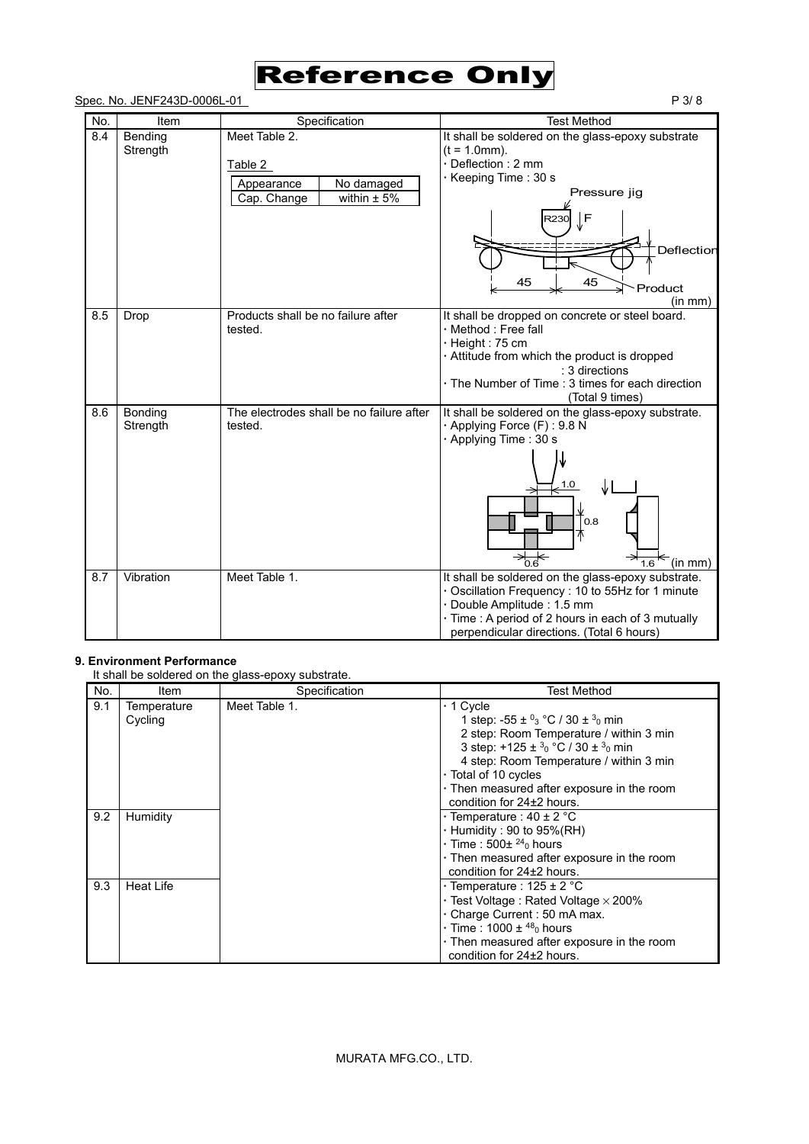# Reference Only

# Spec. No. JENF243D-0006L-01 P 3/8

| No. | Item                | Specification                                                                          | <b>Test Method</b>                                                                                                                                                                                                                        |
|-----|---------------------|----------------------------------------------------------------------------------------|-------------------------------------------------------------------------------------------------------------------------------------------------------------------------------------------------------------------------------------------|
| 8.4 | Bending<br>Strength | Meet Table 2.<br>Table 2<br>No damaged<br>Appearance<br>within $\pm$ 5%<br>Cap. Change | It shall be soldered on the glass-epoxy substrate<br>$(t = 1.0$ mm).<br>· Deflection: 2 mm<br>· Keeping Time: 30 s<br>Pressure jig<br>∫F<br>R230<br>Deflection<br>45<br>45<br>Product<br>(in mm)                                          |
| 8.5 | Drop                | Products shall be no failure after<br>tested.                                          | It shall be dropped on concrete or steel board.<br>· Method : Free fall<br>· Height: 75 cm<br>· Attitude from which the product is dropped<br>: 3 directions<br>· The Number of Time: 3 times for each direction<br>(Total 9 times)       |
| 8.6 | Bonding<br>Strength | The electrodes shall be no failure after<br>tested.                                    | It shall be soldered on the glass-epoxy substrate.<br>· Applying Force (F): 9.8 N<br>· Applying Time: 30 s<br>1.0<br>0.8<br>$\rightarrow_{0.6}$<br>(in mm)<br>16                                                                          |
| 8.7 | Vibration           | Meet Table 1.                                                                          | It shall be soldered on the glass-epoxy substrate.<br>· Oscillation Frequency : 10 to 55Hz for 1 minute<br>· Double Amplitude : 1.5 mm<br>· Time : A period of 2 hours in each of 3 mutually<br>perpendicular directions. (Total 6 hours) |

# **9. Environment Performance**

It shall be soldered on the glass-epoxy substrate.

| No. | Item                   | Specification | <b>Test Method</b>                                                                                                                                                                                                                                                                                                        |
|-----|------------------------|---------------|---------------------------------------------------------------------------------------------------------------------------------------------------------------------------------------------------------------------------------------------------------------------------------------------------------------------------|
| 9.1 | Temperature<br>Cycling | Meet Table 1. | $\cdot$ 1 Cycle<br>1 step: -55 ± $^{0}$ <sub>3</sub> °C / 30 ± $^{3}$ <sub>0</sub> min<br>2 step: Room Temperature / within 3 min<br>3 step: +125 ± $30$ °C / 30 ± $30$ min<br>4 step: Room Temperature / within 3 min<br>· Total of 10 cycles<br>. Then measured after exposure in the room<br>condition for 24±2 hours. |
| 9.2 | Humidity               |               | $\cdot$ Temperature : 40 $\pm$ 2 °C<br>$\cdot$ Humidity : 90 to 95%(RH)<br>$\cdot$ Time : 500 $\pm$ <sup>24</sup> <sub>0</sub> hours<br>. Then measured after exposure in the room<br>condition for 24±2 hours.                                                                                                           |
| 9.3 | Heat Life              |               | $\cdot$ Temperature : 125 $\pm$ 2 °C<br>$\cdot$ Test Voltage : Rated Voltage $\times$ 200%<br>· Charge Current: 50 mA max.<br>$\cdot$ Time : 1000 $\pm$ <sup>48</sup> <sub>0</sub> hours<br>. Then measured after exposure in the room<br>condition for 24±2 hours.                                                       |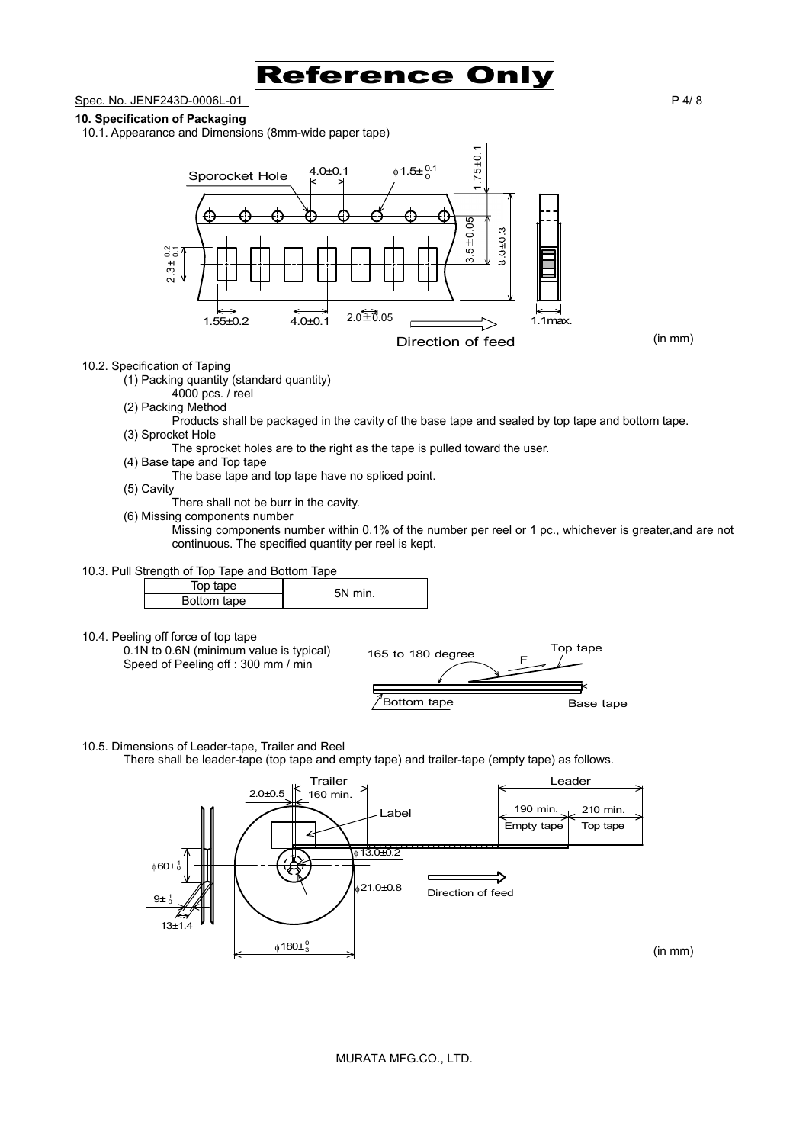

Spec. No. JENF243D-0006L-01 P 4/ 8

## **10. Specification of Packaging**

10.1. Appearance and Dimensions (8mm-wide paper tape)



# 10.2. Specification of Taping

(1) Packing quantity (standard quantity)

- 4000 pcs. / reel
- (2) Packing Method
- Products shall be packaged in the cavity of the base tape and sealed by top tape and bottom tape. (3) Sprocket Hole
	- The sprocket holes are to the right as the tape is pulled toward the user.
- (4) Base tape and Top tape
	- The base tape and top tape have no spliced point.
- (5) Cavity
- There shall not be burr in the cavity.
- (6) Missing components number

Missing components number within 0.1% of the number per reel or 1 pc., whichever is greater,and are not continuous. The specified quantity per reel is kept.

10.3. Pull Strength of Top Tape and Bottom Tape

| Bottom tape |  |  |
|-------------|--|--|

### 10.4. Peeling off force of top tape



10.5. Dimensions of Leader-tape, Trailer and Reel

There shall be leader-tape (top tape and empty tape) and trailer-tape (empty tape) as follows.

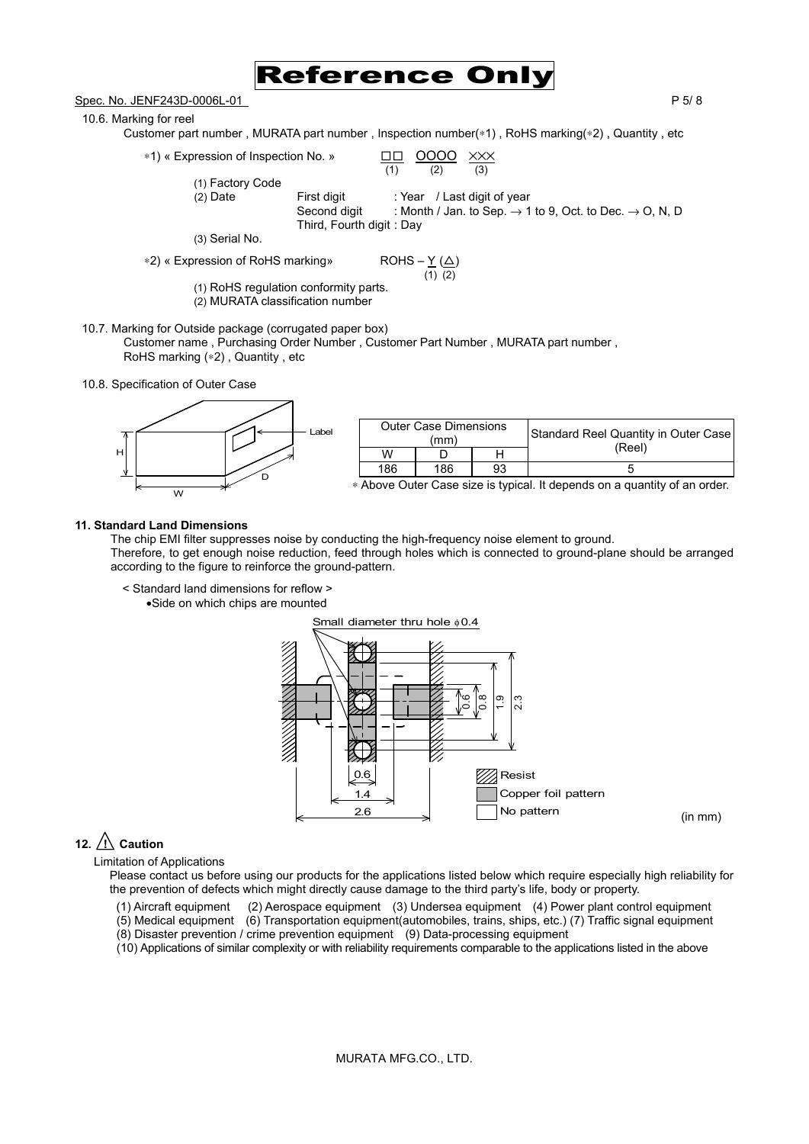

Spec. No. JENF243D-0006L-01 P 5/8

10.6. Marking for reel

Customer part number , MURATA part number , Inspection number(∗1) , RoHS marking(∗2) , Quantity , etc

 $*1)$  « Expression of Inspection No. »  $\frac{\Box \Box}{(1)} \frac{OOOO}{(2)} \times \frac{\times \times}{(3)}$ 

(1) Factory Code

(2) Date First digit : Year / Last digit of year

 $(1)$   $(2)$   $(3)$ 

Second digit : Month / Jan. to Sep.  $\rightarrow$  1 to 9, Oct. to Dec.  $\rightarrow$  O, N, D Third, Fourth digit : Day

(3) Serial No.

∗2) « Expression of RoHS marking» ROHS – Y (△)

$$
ROHS - \underline{Y} (\underline{\triangle})
$$
  
(1) (2)

(1) RoHS regulation conformity parts.

(2) MURATA classification number

10.7. Marking for Outside package (corrugated paper box) Customer name , Purchasing Order Number , Customer Part Number , MURATA part number , RoHS marking (∗2) , Quantity , etc

10.8. Specification of Outer Case



|     | <b>Outer Case Dimensions</b><br>(mm) |    | Standard Reel Quantity in Outer Case |
|-----|--------------------------------------|----|--------------------------------------|
| W   |                                      |    | (Reel)                               |
| 186 | 186                                  | 93 | n                                    |

∗ Above Outer Case size is typical. It depends on a quantity of an order.

### **11. Standard Land Dimensions**

The chip EMI filter suppresses noise by conducting the high-frequency noise element to ground. Therefore, to get enough noise reduction, feed through holes which is connected to ground-plane should be arranged according to the figure to reinforce the ground-pattern.

< Standard land dimensions for reflow >

•Side on which chips are mounted



# 12.  $\triangle$  Caution

Limitation of Applications

Please contact us before using our products for the applications listed below which require especially high reliability for the prevention of defects which might directly cause damage to the third party's life, body or property.

(1) Aircraft equipment (2) Aerospace equipment (3) Undersea equipment (4) Power plant control equipment

(5) Medical equipment (6) Transportation equipment(automobiles, trains, ships, etc.) (7) Traffic signal equipment

(8) Disaster prevention / crime prevention equipment (9) Data-processing equipment

(10) Applications of similar complexity or with reliability requirements comparable to the applications listed in the above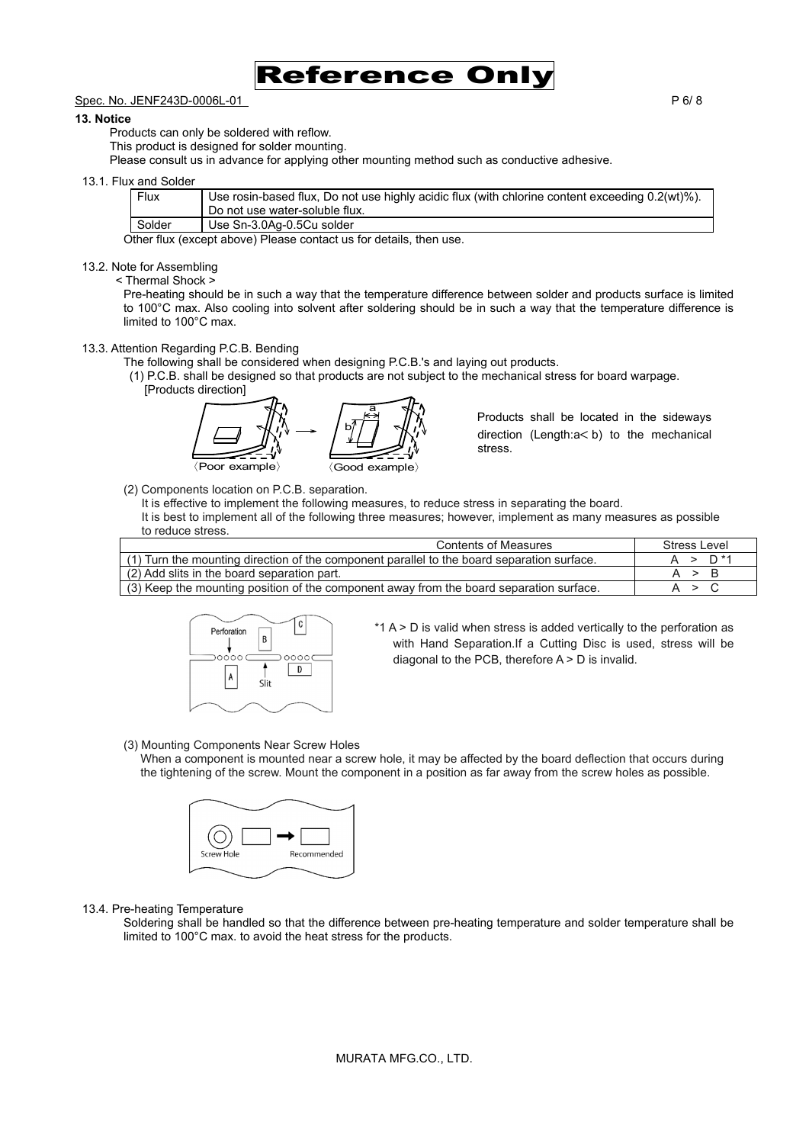

# Spec. No. JENF243D-0006L-01 P 6/ 8

#### **13. Notice**

Products can only be soldered with reflow.

This product is designed for solder mounting.

Please consult us in advance for applying other mounting method such as conductive adhesive.

#### 13.1. Flux and Solder

| Flux     | Use rosin-based flux, Do not use highly acidic flux (with chlorine content exceeding 0.2(wt)%).<br>Do not use water-soluble flux. |
|----------|-----------------------------------------------------------------------------------------------------------------------------------|
| Solder   | Use Sn-3.0Ag-0.5Cu solder                                                                                                         |
| $\cdots$ |                                                                                                                                   |

Other flux (except above) Please contact us for details, then use.

### 13.2. Note for Assembling

#### < Thermal Shock >

Pre-heating should be in such a way that the temperature difference between solder and products surface is limited to 100°C max. Also cooling into solvent after soldering should be in such a way that the temperature difference is limited to 100°C max.

## 13.3. Attention Regarding P.C.B. Bending

The following shall be considered when designing P.C.B.'s and laying out products.

(1) P.C.B. shall be designed so that products are not subject to the mechanical stress for board warpage.

[Products direction]

 $\langle$ Poor example $\rangle$   $\qquad \qquad \langle$  Good example $\rangle$ b a

Products shall be located in the sideways direction (Length:a<br/>>b) to the mechanical stress.

(2) Components location on P.C.B. separation.

It is effective to implement the following measures, to reduce stress in separating the board.

It is best to implement all of the following three measures; however, implement as many measures as possible to reduce stress.

| <b>Contents of Measures</b>                                                                | Stress Level |
|--------------------------------------------------------------------------------------------|--------------|
| (1) Turn the mounting direction of the component parallel to the board separation surface. | $A > D^*1$   |
| (2) Add slits in the board separation part.                                                | A > B        |
| (3) Keep the mounting position of the component away from the board separation surface.    | A > C        |



- $*1$  A  $>$  D is valid when stress is added vertically to the perforation as with Hand Separation.If a Cutting Disc is used, stress will be diagonal to the PCB, therefore A > D is invalid.
- (3) Mounting Components Near Screw Holes

When a component is mounted near a screw hole, it may be affected by the board deflection that occurs during the tightening of the screw. Mount the component in a position as far away from the screw holes as possible.



### 13.4. Pre-heating Temperature

Soldering shall be handled so that the difference between pre-heating temperature and solder temperature shall be limited to 100°C max. to avoid the heat stress for the products.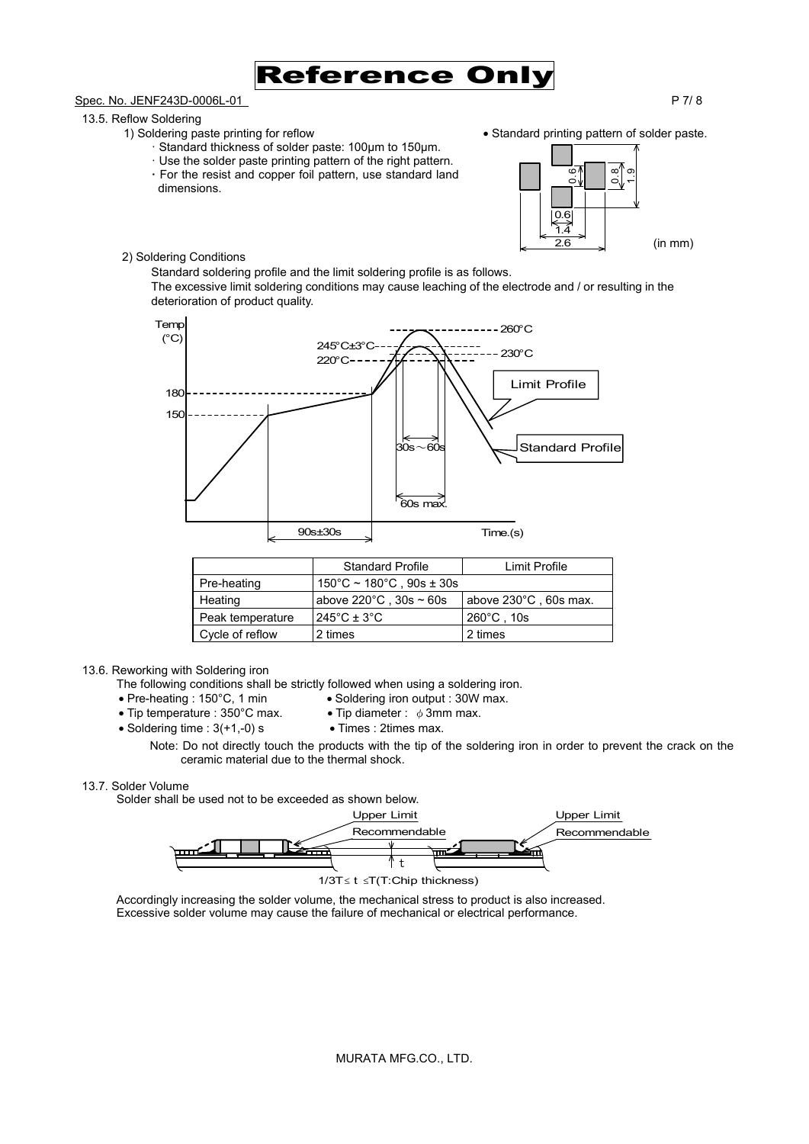

# Spec. No. JENF243D-0006L-01 P 7/ 8

# 13.5. Reflow Soldering

- 1) Soldering paste printing for reflow Standard printing pattern of solder paste.
	- · Standard thickness of solder paste: 100µm to 150µm.
	- · Use the solder paste printing pattern of the right pattern.
	- **·** For the resist and copper foil pattern, use standard land dimensions.



2) Soldering Conditions

Standard soldering profile and the limit soldering profile is as follows. The excessive limit soldering conditions may cause leaching of the electrode and / or resulting in the deterioration of product quality.



|                  | <b>Standard Profile</b>                          | Limit Profile                   |  |
|------------------|--------------------------------------------------|---------------------------------|--|
| Pre-heating      | $150^{\circ}$ C ~ $180^{\circ}$ C, $90s \pm 30s$ |                                 |  |
| Heating          | above $220^{\circ}$ C, $30s \sim 60s$            | above $230^{\circ}$ C, 60s max. |  |
| Peak temperature | $245^{\circ}$ C ± 3 $^{\circ}$ C                 | $260^{\circ}$ C. 10s            |  |
| Cycle of reflow  | 2 times                                          | 2 times                         |  |

### 13.6. Reworking with Soldering iron

- The following conditions shall be strictly followed when using a soldering iron.<br>• Pre-heating : 150°C, 1 min<br>• Soldering iron output : 30W max.
	- Soldering iron output : 30W max.
- Tip temperature : 350°C max. Tip diameter :  $\phi$  3mm max.
- 
- 

• Soldering time : 3(+1,-0) s • Times : 2times max.<br>Note: Do not directly touch the products with the tip of the soldering iron in order to prevent the crack on the ceramic material due to the thermal shock.

### 13.7. Solder Volume

Solder shall be used not to be exceeded as shown below.



Accordingly increasing the solder volume, the mechanical stress to product is also increased. Excessive solder volume may cause the failure of mechanical or electrical performance.